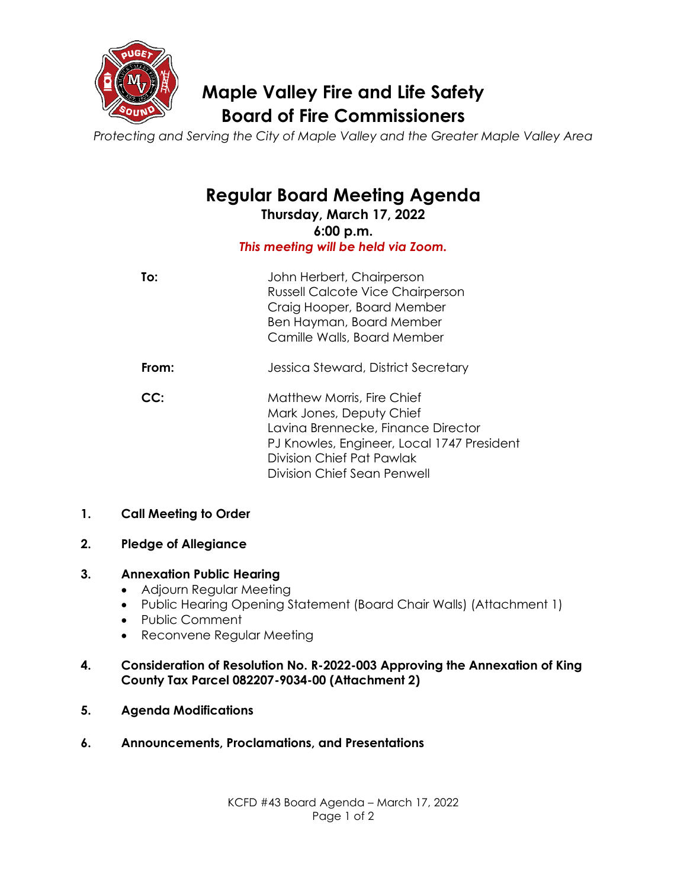

## **Maple Valley Fire and Life Safety Board of Fire Commissioners**

*Protecting and Serving the City of Maple Valley and the Greater Maple Valley Area*

# **Regular Board Meeting Agenda**

**Thursday, March 17, 2022 6:00 p.m.** *This meeting will be held via Zoom.*

| To:   | John Herbert, Chairperson<br><b>Russell Calcote Vice Chairperson</b><br>Craig Hooper, Board Member<br>Ben Hayman, Board Member<br>Camille Walls, Board Member                         |
|-------|---------------------------------------------------------------------------------------------------------------------------------------------------------------------------------------|
| From: | Jessica Steward, District Secretary                                                                                                                                                   |
| CC:   | <b>Matthew Morris, Fire Chief</b><br>Mark Jones, Deputy Chief<br>Lavina Brennecke, Finance Director<br>PJ Knowles, Engineer, Local 1747 President<br><b>Division Chief Pat Pawlak</b> |

#### **1. Call Meeting to Order**

#### **2. Pledge of Allegiance**

#### **3. Annexation Public Hearing**

- Adjourn Regular Meeting
- Public Hearing Opening Statement (Board Chair Walls) (Attachment 1)

Division Chief Sean Penwell

- Public Comment
- Reconvene Regular Meeting

#### **4. Consideration of Resolution No. R-2022-003 Approving the Annexation of King County Tax Parcel 082207-9034-00 (Attachment 2)**

- **5. Agenda Modifications**
- **6. Announcements, Proclamations, and Presentations**